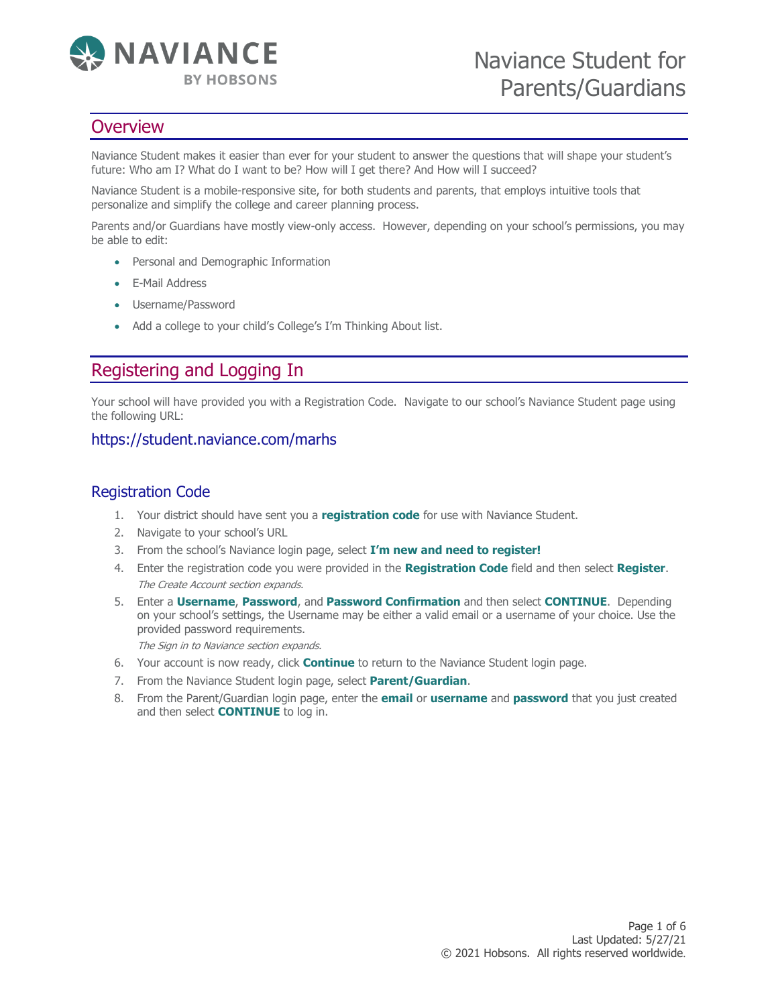

# **Overview**

Naviance Student makes it easier than ever for your student to answer the questions that will shape your student's future: Who am I? What do I want to be? How will I get there? And How will I succeed?

Naviance Student is a mobile-responsive site, for both students and parents, that employs intuitive tools that personalize and simplify the college and career planning process.

Parents and/or Guardians have mostly view-only access. However, depending on your school's permissions, you may be able to edit:

- Personal and Demographic Information
- E-Mail Address
- Username/Password
- Add a college to your child's College's I'm Thinking About list.

# Registering and Logging In

Your school will have provided you with a Registration Code. Navigate to our school's Naviance Student page using the following URL:

#### https://student.naviance.com/marhs

### Registration Code

- 1. Your district should have sent you a **registration code** for use with Naviance Student.
- 2. Navigate to your school's URL
- 3. From the school's Naviance login page, select **I'm new and need to register!**
- 4. Enter the registration code you were provided in the **Registration Code** field and then select **Register**. The Create Account section expands.
- 5. Enter a **Username**, **Password**, and **Password Confirmation** and then select **CONTINUE**. Depending on your school's settings, the Username may be either a valid email or a username of your choice. Use the provided password requirements.

The Sign in to Naviance section expands.

- 6. Your account is now ready, click **Continue** to return to the Naviance Student login page.
- 7. From the Naviance Student login page, select **Parent/Guardian**.
- 8. From the Parent/Guardian login page, enter the **email** or **username** and **password** that you just created and then select **CONTINUE** to log in.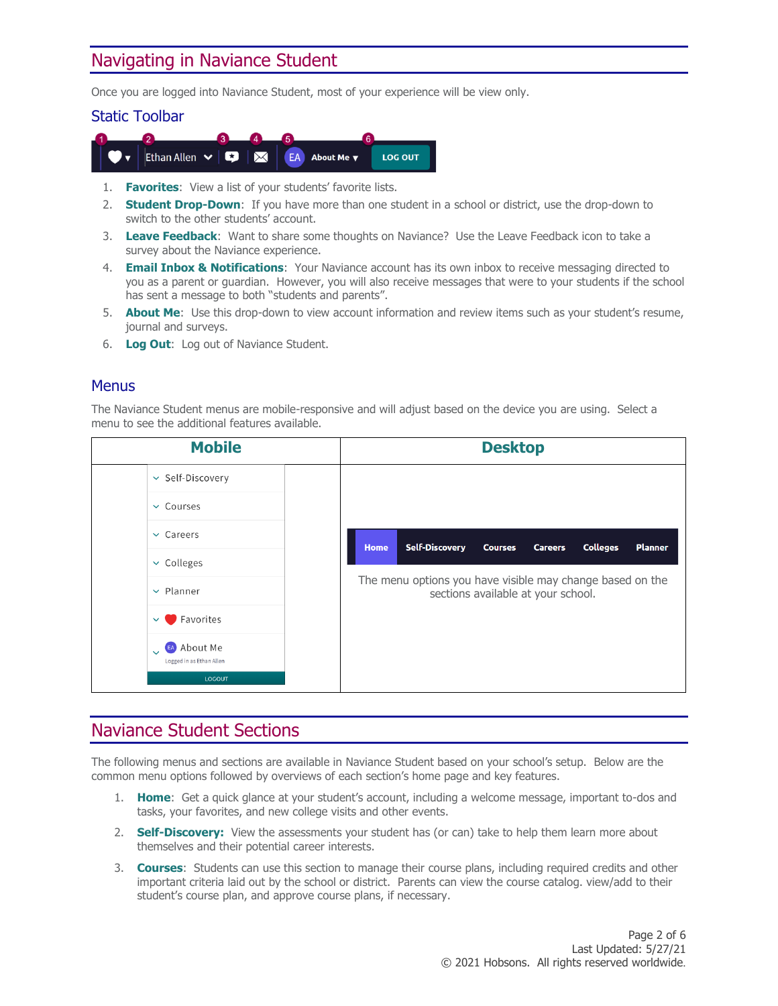# Navigating in Naviance Student

Once you are logged into Naviance Student, most of your experience will be view only.

#### Static Toolbar



- 1. **Favorites**: View a list of your students' favorite lists.
- 2. **Student Drop-Down**: If you have more than one student in a school or district, use the drop-down to switch to the other students' account.
- 3. **Leave Feedback**: Want to share some thoughts on Naviance? Use the Leave Feedback icon to take a survey about the Naviance experience.
- 4. **Email Inbox & Notifications**: Your Naviance account has its own inbox to receive messaging directed to you as a parent or guardian. However, you will also receive messages that were to your students if the school has sent a message to both "students and parents".
- 5. **About Me**: Use this drop-down to view account information and review items such as your student's resume, journal and surveys.
- 6. **Log Out**: Log out of Naviance Student.

#### **Menus**

The Naviance Student menus are mobile-responsive and will adjust based on the device you are using. Select a menu to see the additional features available.



### Naviance Student Sections

The following menus and sections are available in Naviance Student based on your school's setup. Below are the common menu options followed by overviews of each section's home page and key features.

- 1. **Home**: Get a quick glance at your student's account, including a welcome message, important to-dos and tasks, your favorites, and new college visits and other events.
- 2. **Self-Discovery:** View the assessments your student has (or can) take to help them learn more about themselves and their potential career interests.
- 3. **Courses**: Students can use this section to manage their course plans, including required credits and other important criteria laid out by the school or district. Parents can view the course catalog. view/add to their student's course plan, and approve course plans, if necessary.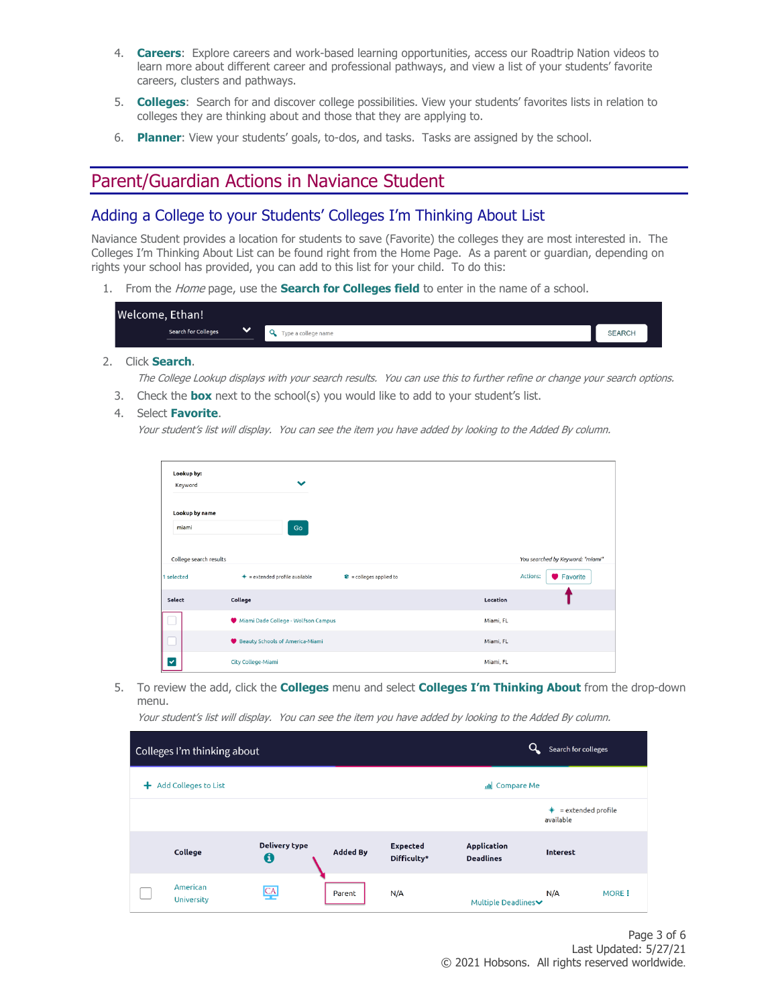- 4. **Careers**: Explore careers and work-based learning opportunities, access our Roadtrip Nation videos to learn more about different career and professional pathways, and view a list of your students' favorite careers, clusters and pathways.
- 5. **Colleges**: Search for and discover college possibilities. View your students' favorites lists in relation to colleges they are thinking about and those that they are applying to.
- 6. **Planner**: View your students' goals, to-dos, and tasks. Tasks are assigned by the school.

### Parent/Guardian Actions in Naviance Student

#### Adding a College to your Students' Colleges I'm Thinking About List

Naviance Student provides a location for students to save (Favorite) the colleges they are most interested in. The Colleges I'm Thinking About List can be found right from the Home Page. As a parent or guardian, depending on rights your school has provided, you can add to this list for your child. To do this:

1. From the Home page, use the **Search for Colleges field** to enter in the name of a school.

| Welcome, Ethan!                            |                     |               |
|--------------------------------------------|---------------------|---------------|
| $\checkmark$<br><b>Search for Colleges</b> | Type a college name | <b>SEARCH</b> |

2. Click **Search**.

The College Lookup displays with your search results. You can use this to further refine or change your search options.

- 3. Check the **box** next to the school(s) you would like to add to your student's list.
- 4. Select **Favorite**.

Your student's list will display. You can see the item you have added by looking to the Added By column.

| Lookup by:                           |                                     |                                 |           |                                                          |
|--------------------------------------|-------------------------------------|---------------------------------|-----------|----------------------------------------------------------|
| Keyword                              | $\checkmark$                        |                                 |           |                                                          |
| Lookup by name<br>miami              | Go                                  |                                 |           |                                                          |
| College search results<br>1 selected | $* =$ extended profile available    | $\hat{w}$ = colleges applied to |           | You searched by Keyword: "miami"<br>Actions:<br>Favorite |
| Select                               | College                             |                                 | Location  |                                                          |
|                                      | Miami Dade College - Wolfson Campus |                                 | Miami, FL |                                                          |
|                                      | Beauty Schools of America-Miami     |                                 | Miami, FL |                                                          |
| Y                                    | City College-Miami                  |                                 | Miami, FL |                                                          |

5. To review the add, click the **Colleges** menu and select **Colleges I'm Thinking About** from the drop-down menu.

Your student's list will display. You can see the item you have added by looking to the Added By column.

|   | Colleges I'm thinking about   |                           |                 |                                | Q                                      | Search for colleges                  |              |
|---|-------------------------------|---------------------------|-----------------|--------------------------------|----------------------------------------|--------------------------------------|--------------|
| + | <b>Add Colleges to List</b>   |                           |                 |                                | ull Compare Me                         |                                      |              |
|   |                               |                           |                 |                                |                                        | = extended profile<br>∗<br>available |              |
|   | College                       | <b>Delivery type</b><br>6 | <b>Added By</b> | <b>Expected</b><br>Difficulty* | <b>Application</b><br><b>Deadlines</b> | <b>Interest</b>                      |              |
|   | American<br><b>University</b> | CA                        | Parent          | N/A                            | <b>Multiple Deadlines</b>              | N/A                                  | <b>MORE:</b> |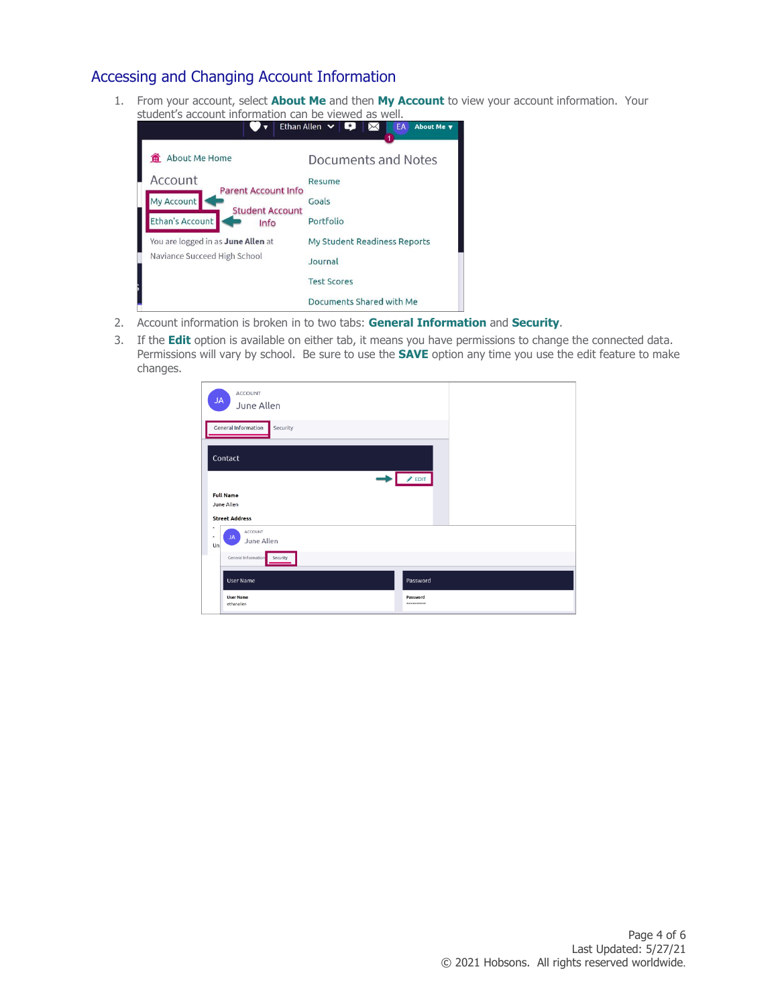### Accessing and Changing Account Information

1. From your account, select **About Me** and then **My Account** to view your account information. Your



- 2. Account information is broken in to two tabs: **General Information** and **Security**.
- 3. If the **Edit** option is available on either tab, it means you have permissions to change the connected data. Permissions will vary by school. Be sure to use the **SAVE** option any time you use the edit feature to make changes.

| <b>JA</b>    | <b>ACCOUNT</b><br>June Allen                                          |                                    |
|--------------|-----------------------------------------------------------------------|------------------------------------|
|              | General Information<br>Security                                       |                                    |
|              | Contact                                                               | $\triangle$ EDIT                   |
|              | <b>Full Name</b><br>June Allen<br><b>Street Address</b>               |                                    |
| ۰<br>٠<br>Un | ACCOUNT<br><b>JA</b><br>June Allen<br>General Information<br>Security |                                    |
|              | <b>User Name</b><br><b>User Name</b><br>ethanallen                    | Password<br>Password<br>********** |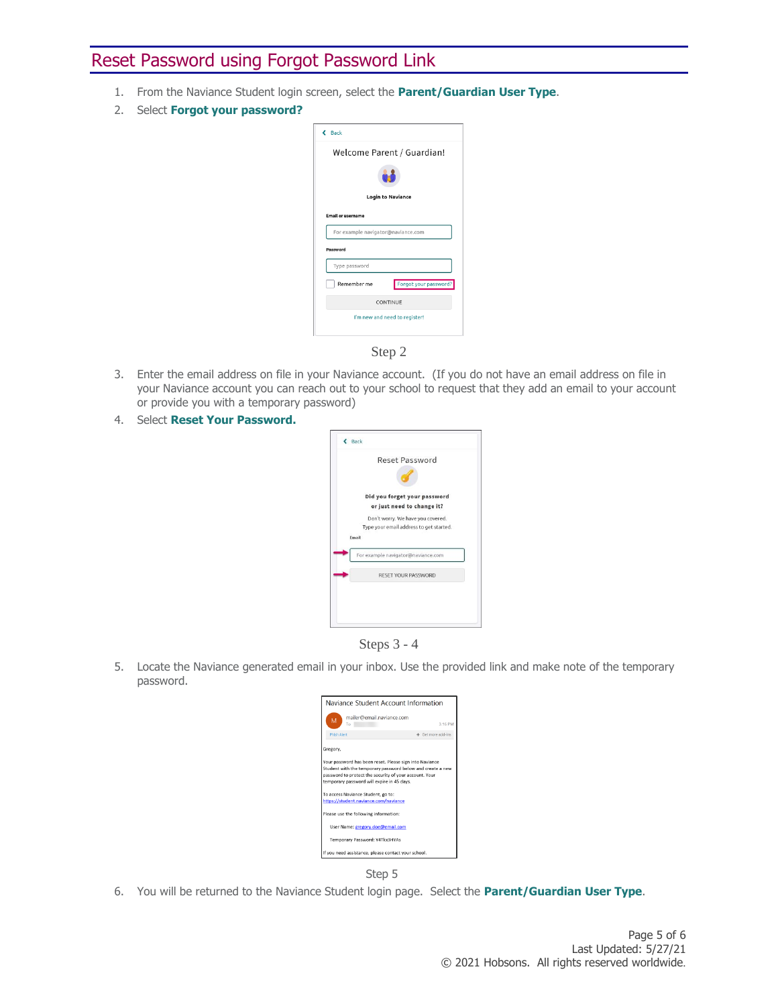# Reset Password using Forgot Password Link

- 1. From the Naviance Student login screen, select the **Parent/Guardian User Type**.
- 2. Select **Forgot your password?**

| $\epsilon$ Back                    |                               |
|------------------------------------|-------------------------------|
|                                    | Welcome Parent / Guardian!    |
|                                    |                               |
|                                    | <b>Login to Naviance</b>      |
| <b>Email or username</b>           |                               |
| For example navigator@naviance.com |                               |
| Password                           |                               |
|                                    |                               |
| Type password                      |                               |
| Remember me                        | Forgot your password?         |
|                                    | CONTINUE                      |
|                                    | I'm new and need to register! |

Step 2

- 3. Enter the email address on file in your Naviance account. (If you do not have an email address on file in your Naviance account you can reach out to your school to request that they add an email to your account or provide you with a temporary password)
- 4. Select **Reset Your Password.**





5. Locate the Naviance generated email in your inbox. Use the provided link and make note of the temporary password.





6. You will be returned to the Naviance Student login page. Select the **Parent/Guardian User Type**.